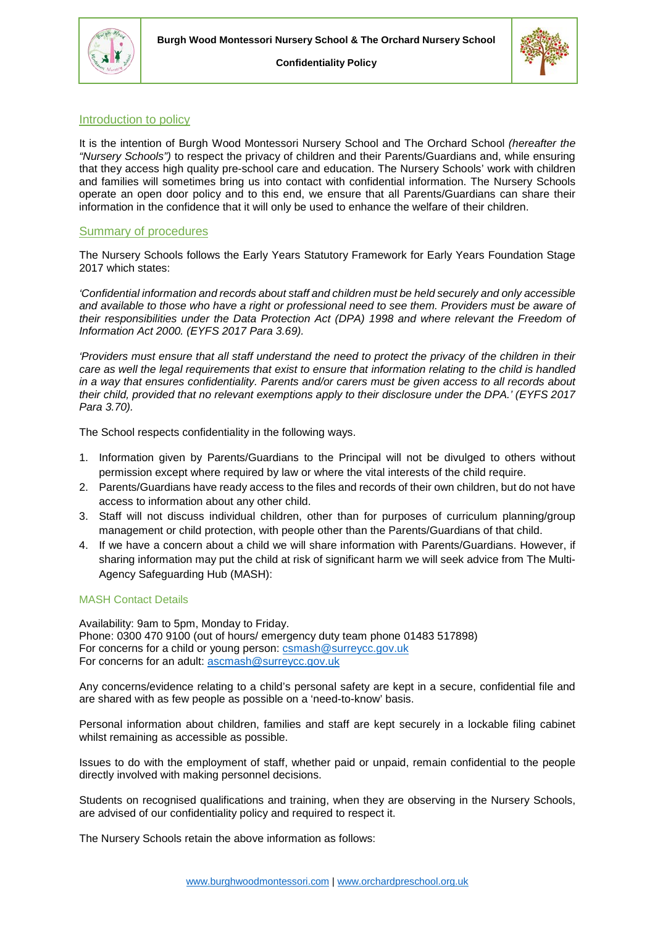



**Confidentiality Policy**

# Introduction to policy

It is the intention of Burgh Wood Montessori Nursery School and The Orchard School *(hereafter the "Nursery Schools")* to respect the privacy of children and their Parents/Guardians and, while ensuring that they access high quality pre-school care and education. The Nursery Schools' work with children and families will sometimes bring us into contact with confidential information. The Nursery Schools operate an open door policy and to this end, we ensure that all Parents/Guardians can share their information in the confidence that it will only be used to enhance the welfare of their children.

## Summary of procedures

The Nursery Schools follows the Early Years Statutory Framework for Early Years Foundation Stage 2017 which states:

*'Confidential information and records about staff and children must be held securely and only accessible and available to those who have a right or professional need to see them. Providers must be aware of their responsibilities under the Data Protection Act (DPA) 1998 and where relevant the Freedom of Information Act 2000. (EYFS 2017 Para 3.69).* 

*'Providers must ensure that all staff understand the need to protect the privacy of the children in their care as well the legal requirements that exist to ensure that information relating to the child is handled in a way that ensures confidentiality. Parents and/or carers must be given access to all records about their child, provided that no relevant exemptions apply to their disclosure under the DPA.' (EYFS 2017 Para 3.70).*

The School respects confidentiality in the following ways.

- 1. Information given by Parents/Guardians to the Principal will not be divulged to others without permission except where required by law or where the vital interests of the child require.
- 2. Parents/Guardians have ready access to the files and records of their own children, but do not have access to information about any other child.
- 3. Staff will not discuss individual children, other than for purposes of curriculum planning/group management or child protection, with people other than the Parents/Guardians of that child.
- 4. If we have a concern about a child we will share information with Parents/Guardians. However, if sharing information may put the child at risk of significant harm we will seek advice from The Multi-Agency Safeguarding Hub (MASH):

## MASH Contact Details

Availability: 9am to 5pm, Monday to Friday. Phone: 0300 470 9100 (out of hours/ emergency duty team phone 01483 517898) For concerns for a child or young person: [csmash@surreycc.gov.uk](mailto:csmash@surreycc.gov.uk) For concerns for an adult: [ascmash@surreycc.gov.uk](mailto:ascmash@surreycc.gov.uk)

Any concerns/evidence relating to a child's personal safety are kept in a secure, confidential file and are shared with as few people as possible on a 'need-to-know' basis.

Personal information about children, families and staff are kept securely in a lockable filing cabinet whilst remaining as accessible as possible.

Issues to do with the employment of staff, whether paid or unpaid, remain confidential to the people directly involved with making personnel decisions.

Students on recognised qualifications and training, when they are observing in the Nursery Schools, are advised of our confidentiality policy and required to respect it.

The Nursery Schools retain the above information as follows: